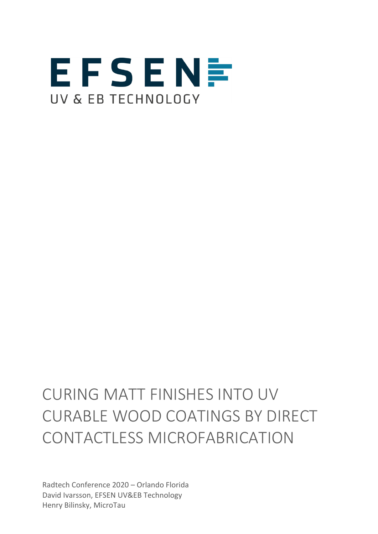

# CURING MATT FINISHES INTO UV CURABLE WOOD COATINGS BY DIRECT CONTACTLESS MICROFABRICATION

Radtech Conference 2020 – Orlando Florida David Ivarsson, EFSEN UV&EB Technology Henry Bilinsky, MicroTau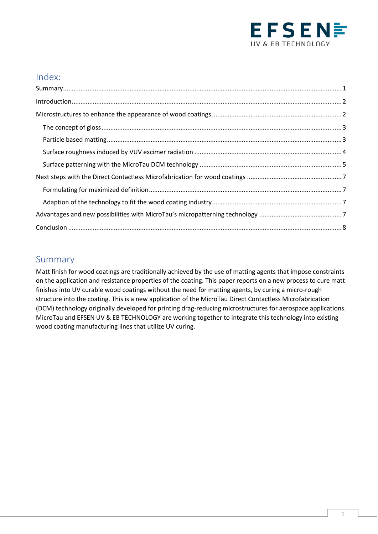

## Index:

### <span id="page-1-0"></span>Summary

Matt finish for wood coatings are traditionally achieved by the use of matting agents that impose constraints on the application and resistance properties of the coating. This paper reports on a new process to cure matt finishes into UV curable wood coatings without the need for matting agents, by curing a micro-rough structure into the coating. This is a new application of the MicroTau Direct Contactless Microfabrication (DCM) technology originally developed for printing drag-reducing microstructures for aerospace applications. MicroTau and EFSEN UV & EB TECHNOLOGY are working together to integrate this technology into existing wood coating manufacturing lines that utilize UV curing.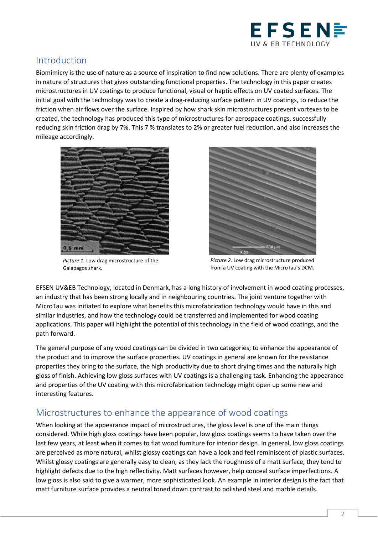

## <span id="page-2-0"></span>Introduction

Biomimicry is the use of nature as a source of inspiration to find new solutions. There are plenty of examples in nature of structures that gives outstanding functional properties. The technology in this paper creates microstructures in UV coatings to produce functional, visual or haptic effects on UV coated surfaces. The initial goal with the technology was to create a drag-reducing surface pattern in UV coatings, to reduce the friction when air flows over the surface. Inspired by how shark skin microstructures prevent vortexes to be created, the technology has produced this type of microstructures for aerospace coatings, successfully reducing skin friction drag by 7%. This 7 % translates to 2% or greater fuel reduction, and also increases the mileage accordingly.



*Picture 1.* Low drag microstructure of the Galapagos shark.



*Picture 2.* Low drag microstructure produced from a UV coating with the MicroTau's DCM.

EFSEN UV&EB Technology, located in Denmark, has a long history of involvement in wood coating processes, an industry that has been strong locally and in neighbouring countries. The joint venture together with MicroTau was initiated to explore what benefits this microfabrication technology would have in this and similar industries, and how the technology could be transferred and implemented for wood coating applications. This paper will highlight the potential of this technology in the field of wood coatings, and the path forward.

The general purpose of any wood coatings can be divided in two categories; to enhance the appearance of the product and to improve the surface properties. UV coatings in general are known for the resistance properties they bring to the surface, the high productivity due to short drying times and the naturally high gloss of finish. Achieving low gloss surfaces with UV coatings is a challenging task. Enhancing the appearance and properties of the UV coating with this microfabrication technology might open up some new and interesting features.

## <span id="page-2-1"></span>Microstructures to enhance the appearance of wood coatings

When looking at the appearance impact of microstructures, the gloss level is one of the main things considered. While high gloss coatings have been popular, low gloss coatings seems to have taken over the last few years, at least when it comes to flat wood furniture for interior design. In general, low gloss coatings are perceived as more natural, whilst glossy coatings can have a look and feel reminiscent of plastic surfaces. Whilst glossy coatings are generally easy to clean, as they lack the roughness of a matt surface, they tend to highlight defects due to the high reflectivity. Matt surfaces however, help conceal surface imperfections. A low gloss is also said to give a warmer, more sophisticated look. An example in interior design is the fact that matt furniture surface provides a neutral toned down contrast to polished steel and marble details.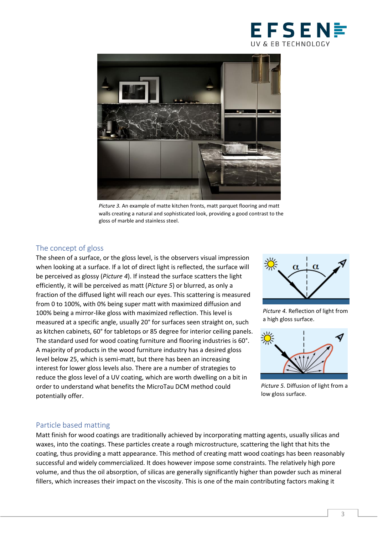



*Picture 3.* An example of matte kitchen fronts, matt parquet flooring and matt walls creating a natural and sophisticated look, providing a good contrast to the gloss of marble and stainless steel.

#### <span id="page-3-0"></span>The concept of gloss

The sheen of a surface, or the gloss level, is the observers visual impression when looking at a surface. If a lot of direct light is reflected, the surface will be perceived as glossy (*Picture 4*). If instead the surface scatters the light efficiently, it will be perceived as matt (*Picture 5*) or blurred, as only a fraction of the diffused light will reach our eyes. This scattering is measured from 0 to 100%, with 0% being super matt with maximized diffusion and 100% being a mirror-like gloss with maximized reflection. This level is measured at a specific angle, usually 20° for surfaces seen straight on, such as kitchen cabinets, 60° for tabletops or 85 degree for interior ceiling panels. The standard used for wood coating furniture and flooring industries is 60°. A majority of products in the wood furniture industry has a desired gloss level below 25, which is semi-matt, but there has been an increasing interest for lower gloss levels also. There are a number of strategies to reduce the gloss level of a UV coating, which are worth dwelling on a bit in order to understand what benefits the MicroTau DCM method could potentially offer.



*Picture 4.* Reflection of light from a high gloss surface.



*Picture 5.* Diffusion of light from a low gloss surface.

#### <span id="page-3-1"></span>Particle based matting

Matt finish for wood coatings are traditionally achieved by incorporating matting agents, usually silicas and waxes, into the coatings. These particles create a rough microstructure, scattering the light that hits the coating, thus providing a matt appearance. This method of creating matt wood coatings has been reasonably successful and widely commercialized. It does however impose some constraints. The relatively high pore volume, and thus the oil absorption, of silicas are generally significantly higher than powder such as mineral fillers, which increases their impact on the viscosity. This is one of the main contributing factors making it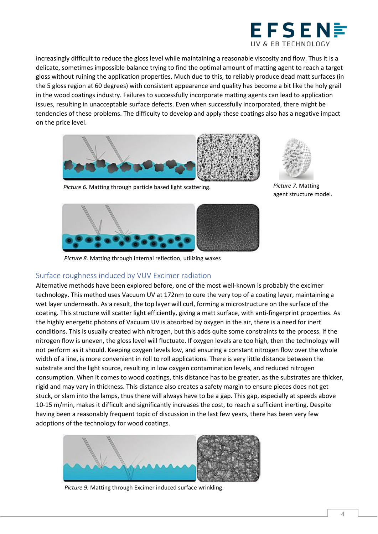

increasingly difficult to reduce the gloss level while maintaining a reasonable viscosity and flow. Thus it is a delicate, sometimes impossible balance trying to find the optimal amount of matting agent to reach a target gloss without ruining the application properties. Much due to this, to reliably produce dead matt surfaces (in the 5 gloss region at 60 degrees) with consistent appearance and quality has become a bit like the holy grail in the wood coatings industry. Failures to successfully incorporate matting agents can lead to application issues, resulting in unacceptable surface defects. Even when successfully incorporated, there might be tendencies of these problems. The difficulty to develop and apply these coatings also has a negative impact on the price level.



*Picture 6.* Matting through particle based light scattering.

<span id="page-4-0"></span>

*Picture 8.* Matting through internal reflection, utilizing waxes

## Surface roughness induced by VUV Excimer radiation

Alternative methods have been explored before, one of the most well-known is probably the excimer technology. This method uses Vacuum UV at 172nm to cure the very top of a coating layer, maintaining a wet layer underneath. As a result, the top layer will curl, forming a microstructure on the surface of the coating. This structure will scatter light efficiently, giving a matt surface, with anti-fingerprint properties. As the highly energetic photons of Vacuum UV is absorbed by oxygen in the air, there is a need for inert conditions. This is usually created with nitrogen, but this adds quite some constraints to the process. If the nitrogen flow is uneven, the gloss level will fluctuate. If oxygen levels are too high, then the technology will not perform as it should. Keeping oxygen levels low, and ensuring a constant nitrogen flow over the whole width of a line, is more convenient in roll to roll applications. There is very little distance between the substrate and the light source, resulting in low oxygen contamination levels, and reduced nitrogen consumption. When it comes to wood coatings, this distance has to be greater, as the substrates are thicker, rigid and may vary in thickness. This distance also creates a safety margin to ensure pieces does not get stuck, or slam into the lamps, thus there will always have to be a gap. This gap, especially at speeds above 10-15 m/min, makes it difficult and significantly increases the cost, to reach a sufficient inerting. Despite having been a reasonably frequent topic of discussion in the last few years, there has been very few adoptions of the technology for wood coatings.



*Picture 9.* Matting through Excimer induced surface wrinkling.



*Picture 7.* Matting agent structure model.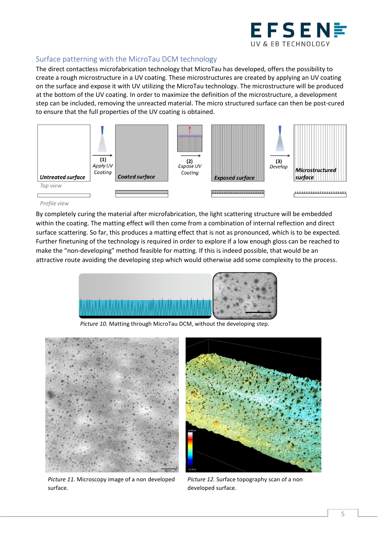

#### <span id="page-5-0"></span>Surface patterning with the MicroTau DCM technology

The direct contactless microfabrication technology that MicroTau has developed, offers the possibility to create a rough microstructure in a UV coating. These microstructures are created by applying an UV coating on the surface and expose it with UV utilizing the MicroTau technology. The microstructure will be produced at the bottom of the UV coating. In order to maximize the definition of the microstructure, a development step can be included, removing the unreacted material. The micro structured surface can then be post-cured to ensure that the full properties of the UV coating is obtained.



#### Profile view

By completely curing the material after microfabrication, the light scattering structure will be embedded within the coating. The matting effect will then come from a combination of internal reflection and direct surface scattering. So far, this produces a matting effect that is not as pronounced, which is to be expected. Further finetuning of the technology is required in order to explore if a low enough gloss can be reached to make the "non-developing" method feasible for matting. If this is indeed possible, that would be an attractive route avoiding the developing step which would otherwise add some complexity to the process.



*Picture 10.* Matting through MicroTau DCM, without the developing step.



*Picture 11.* Microscopy image of a non developed surface.



*Picture 12.* Surface topography scan of a non developed surface.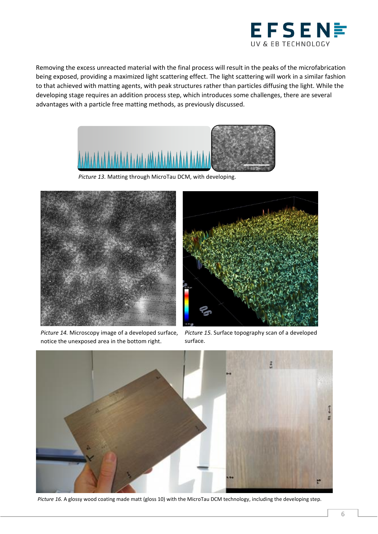

Removing the excess unreacted material with the final process will result in the peaks of the microfabrication being exposed, providing a maximized light scattering effect. The light scattering will work in a similar fashion to that achieved with matting agents, with peak structures rather than particles diffusing the light. While the developing stage requires an addition process step, which introduces some challenges, there are several advantages with a particle free matting methods, as previously discussed.



*Picture 13.* Matting through MicroTau DCM, with developing.



*Picture 14.* Microscopy image of a developed surface, notice the unexposed area in the bottom right.



*Picture 15.* Surface topography scan of a developed surface.



*Picture 16.* A glossy wood coating made matt (gloss 10) with the MicroTau DCM technology, including the developing step.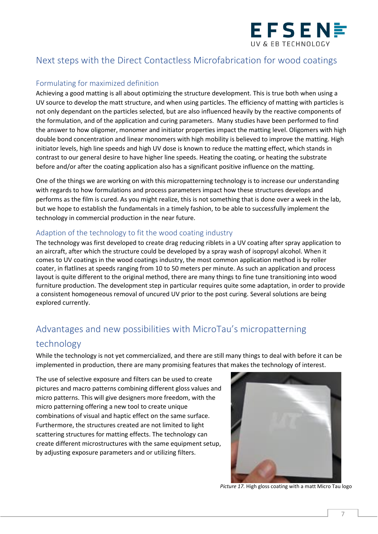

## <span id="page-7-0"></span>Next steps with the Direct Contactless Microfabrication for wood coatings

#### <span id="page-7-1"></span>Formulating for maximized definition

Achieving a good matting is all about optimizing the structure development. This is true both when using a UV source to develop the matt structure, and when using particles. The efficiency of matting with particles is not only dependant on the particles selected, but are also influenced heavily by the reactive components of the formulation, and of the application and curing parameters. Many studies have been performed to find the answer to how oligomer, monomer and initiator properties impact the matting level. Oligomers with high double bond concentration and linear monomers with high mobility is believed to improve the matting. High initiator levels, high line speeds and high UV dose is known to reduce the matting effect, which stands in contrast to our general desire to have higher line speeds. Heating the coating, or heating the substrate before and/or after the coating application also has a significant positive influence on the matting.

One of the things we are working on with this micropatterning technology is to increase our understanding with regards to how formulations and process parameters impact how these structures develops and performs as the film is cured. As you might realize, this is not something that is done over a week in the lab, but we hope to establish the fundamentals in a timely fashion, to be able to successfully implement the technology in commercial production in the near future.

#### <span id="page-7-2"></span>Adaption of the technology to fit the wood coating industry

The technology was first developed to create drag reducing riblets in a UV coating after spray application to an aircraft, after which the structure could be developed by a spray wash of isopropyl alcohol. When it comes to UV coatings in the wood coatings industry, the most common application method is by roller coater, in flatlines at speeds ranging from 10 to 50 meters per minute. As such an application and process layout is quite different to the original method, there are many things to fine tune transitioning into wood furniture production. The development step in particular requires quite some adaptation, in order to provide a consistent homogeneous removal of uncured UV prior to the post curing. Several solutions are being explored currently.

## <span id="page-7-3"></span>Advantages and new possibilities with MicroTau's micropatterning technology

While the technology is not yet commercialized, and there are still many things to deal with before it can be implemented in production, there are many promising features that makes the technology of interest.

The use of selective exposure and filters can be used to create pictures and macro patterns combining different gloss values and micro patterns. This will give designers more freedom, with the micro patterning offering a new tool to create unique combinations of visual and haptic effect on the same surface. Furthermore, the structures created are not limited to light scattering structures for matting effects. The technology can create different microstructures with the same equipment setup, by adjusting exposure parameters and or utilizing filters.



*Picture 17.* High gloss coating with a matt Micro Tau logo